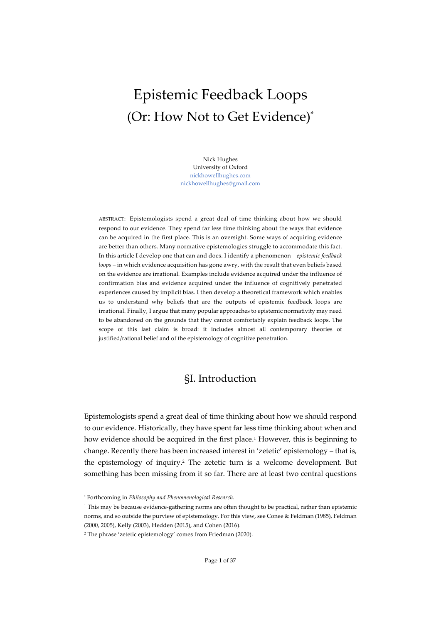# Epistemic Feedback Loops (Or: How Not to Get Evidence)\*

Nick Hughes University of Oxford nickhowellhughes.com nickhowellhughes@gmail.com

ABSTRACT: Epistemologists spend a great deal of time thinking about how we should respond to our evidence. They spend far less time thinking about the ways that evidence can be acquired in the first place. This is an oversight. Some ways of acquiring evidence are better than others. Many normative epistemologies struggle to accommodate this fact. In this article I develop one that can and does. I identify a phenomenon – *epistemic feedback loops* – in which evidence acquisition has gone awry, with the result that even beliefs based on the evidence are irrational. Examples include evidence acquired under the influence of confirmation bias and evidence acquired under the influence of cognitively penetrated experiences caused by implicit bias. I then develop a theoretical framework which enables us to understand why beliefs that are the outputs of epistemic feedback loops are irrational. Finally, I argue that many popular approaches to epistemic normativity may need to be abandoned on the grounds that they cannot comfortably explain feedback loops. The scope of this last claim is broad: it includes almost all contemporary theories of justified/rational belief and of the epistemology of cognitive penetration.

# §I. Introduction

Epistemologists spend a great deal of time thinking about how we should respond to our evidence. Historically, they have spent far less time thinking about when and how evidence should be acquired in the first place.<sup>1</sup> However, this is beginning to change. Recently there has been increased interest in 'zetetic' epistemology – that is, the epistemology of inquiry.2 The zetetic turn is a welcome development. But something has been missing from it so far. There are at least two central questions

<sup>\*</sup> Forthcoming in *Philosophy and Phenomenological Research.*

<sup>1</sup> This may be because evidence-gathering norms are often thought to be practical, rather than epistemic norms, and so outside the purview of epistemology. For this view, see Conee & Feldman (1985), Feldman (2000, 2005), Kelly (2003), Hedden (2015), and Cohen (2016).

<sup>2</sup> The phrase 'zetetic epistemology' comes from Friedman (2020).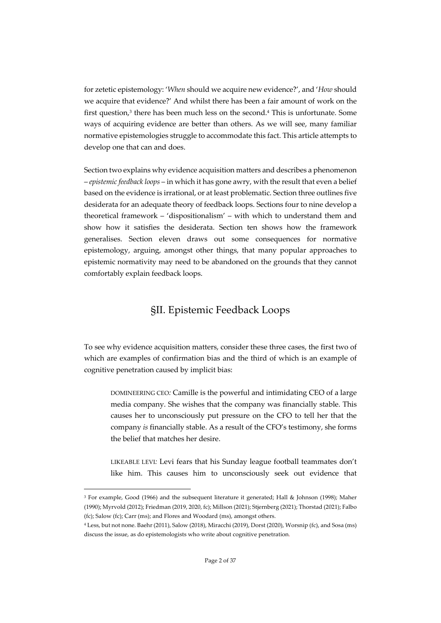for zetetic epistemology: '*When* should we acquire new evidence?', and '*How* should we acquire that evidence?' And whilst there has been a fair amount of work on the first question, $3$  there has been much less on the second. $4$  This is unfortunate. Some ways of acquiring evidence are better than others. As we will see, many familiar normative epistemologies struggle to accommodate this fact. This article attempts to develop one that can and does.

Section two explains why evidence acquisition matters and describes a phenomenon – *epistemic feedback loops* – in which it has gone awry, with the result that even a belief based on the evidence is irrational, or at least problematic. Section three outlines five desiderata for an adequate theory of feedback loops. Sections four to nine develop a theoretical framework – 'dispositionalism' – with which to understand them and show how it satisfies the desiderata. Section ten shows how the framework generalises. Section eleven draws out some consequences for normative epistemology, arguing, amongst other things, that many popular approaches to epistemic normativity may need to be abandoned on the grounds that they cannot comfortably explain feedback loops.

# §II. Epistemic Feedback Loops

To see why evidence acquisition matters, consider these three cases, the first two of which are examples of confirmation bias and the third of which is an example of cognitive penetration caused by implicit bias:

DOMINEERING CEO*:* Camille is the powerful and intimidating CEO of a large media company. She wishes that the company was financially stable. This causes her to unconsciously put pressure on the CFO to tell her that the company *is* financially stable. As a result of the CFO's testimony, she forms the belief that matches her desire.

LIKEABLE LEVI*:* Levi fears that his Sunday league football teammates don't like him. This causes him to unconsciously seek out evidence that

<sup>3</sup> For example, Good (1966) and the subsequent literature it generated; Hall & Johnson (1998); Maher (1990); Myrvold (2012); Friedman (2019, 2020, fc); Millson (2021); Stjernberg (2021); Thorstad (2021); Falbo (fc); Salow (fc); Carr (ms); and Flores and Woodard (ms), amongst others.

<sup>4</sup> Less, but not none. Baehr (2011), Salow (2018), Miracchi (2019), Dorst (2020), Worsnip (fc), and Sosa (ms) discuss the issue, as do epistemologists who write about cognitive penetration.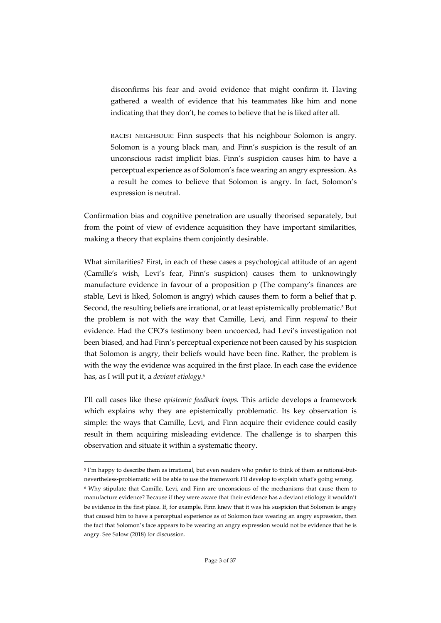disconfirms his fear and avoid evidence that might confirm it. Having gathered a wealth of evidence that his teammates like him and none indicating that they don't, he comes to believe that he is liked after all.

RACIST NEIGHBOUR: Finn suspects that his neighbour Solomon is angry. Solomon is a young black man, and Finn's suspicion is the result of an unconscious racist implicit bias. Finn's suspicion causes him to have a perceptual experience as of Solomon's face wearing an angry expression. As a result he comes to believe that Solomon is angry. In fact, Solomon's expression is neutral.

Confirmation bias and cognitive penetration are usually theorised separately, but from the point of view of evidence acquisition they have important similarities, making a theory that explains them conjointly desirable.

What similarities? First, in each of these cases a psychological attitude of an agent (Camille's wish, Levi's fear, Finn's suspicion) causes them to unknowingly manufacture evidence in favour of a proposition p (The company's finances are stable, Levi is liked, Solomon is angry) which causes them to form a belief that p. Second, the resulting beliefs are irrational, or at least epistemically problematic.<sup>5</sup> But the problem is not with the way that Camille, Levi, and Finn *respond* to their evidence. Had the CFO's testimony been uncoerced, had Levi's investigation not been biased, and had Finn's perceptual experience not been caused by his suspicion that Solomon is angry, their beliefs would have been fine. Rather, the problem is with the way the evidence was acquired in the first place. In each case the evidence has, as I will put it, a *deviant etiology*.6

I'll call cases like these *epistemic feedback loops*. This article develops a framework which explains why they are epistemically problematic. Its key observation is simple: the ways that Camille, Levi, and Finn acquire their evidence could easily result in them acquiring misleading evidence. The challenge is to sharpen this observation and situate it within a systematic theory.

<sup>5</sup> I'm happy to describe them as irrational, but even readers who prefer to think of them as rational-butnevertheless-problematic will be able to use the framework I'll develop to explain what's going wrong. <sup>6</sup> Why stipulate that Camille, Levi, and Finn are unconscious of the mechanisms that cause them to manufacture evidence? Because if they were aware that their evidence has a deviant etiology it wouldn't be evidence in the first place. If, for example, Finn knew that it was his suspicion that Solomon is angry that caused him to have a perceptual experience as of Solomon face wearing an angry expression, then the fact that Solomon's face appears to be wearing an angry expression would not be evidence that he is angry. See Salow (2018) for discussion.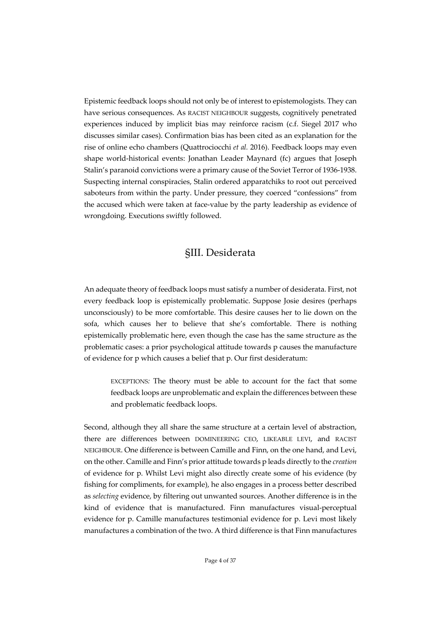Epistemic feedback loops should not only be of interest to epistemologists. They can have serious consequences. As RACIST NEIGHBOUR suggests, cognitively penetrated experiences induced by implicit bias may reinforce racism (c.f. Siegel 2017 who discusses similar cases). Confirmation bias has been cited as an explanation for the rise of online echo chambers (Quattrociocchi *et al.* 2016). Feedback loops may even shape world-historical events: Jonathan Leader Maynard (fc) argues that Joseph Stalin's paranoid convictions were a primary cause of the Soviet Terror of 1936-1938. Suspecting internal conspiracies, Stalin ordered apparatchiks to root out perceived saboteurs from within the party. Under pressure, they coerced "confessions" from the accused which were taken at face-value by the party leadership as evidence of wrongdoing. Executions swiftly followed.

# §III. Desiderata

An adequate theory of feedback loops must satisfy a number of desiderata. First, not every feedback loop is epistemically problematic. Suppose Josie desires (perhaps unconsciously) to be more comfortable. This desire causes her to lie down on the sofa, which causes her to believe that she's comfortable. There is nothing epistemically problematic here, even though the case has the same structure as the problematic cases: a prior psychological attitude towards p causes the manufacture of evidence for p which causes a belief that p. Our first desideratum:

EXCEPTIONS*:* The theory must be able to account for the fact that some feedback loops are unproblematic and explain the differences between these and problematic feedback loops.

Second, although they all share the same structure at a certain level of abstraction, there are differences between DOMINEERING CEO, LIKEABLE LEVI, and RACIST NEIGHBOUR. One difference is between Camille and Finn, on the one hand, and Levi, on the other. Camille and Finn's prior attitude towards p leads directly to the *creation* of evidence for p. Whilst Levi might also directly create some of his evidence (by fishing for compliments, for example), he also engages in a process better described as *selecting* evidence, by filtering out unwanted sources. Another difference is in the kind of evidence that is manufactured. Finn manufactures visual-perceptual evidence for p. Camille manufactures testimonial evidence for p. Levi most likely manufactures a combination of the two. A third difference is that Finn manufactures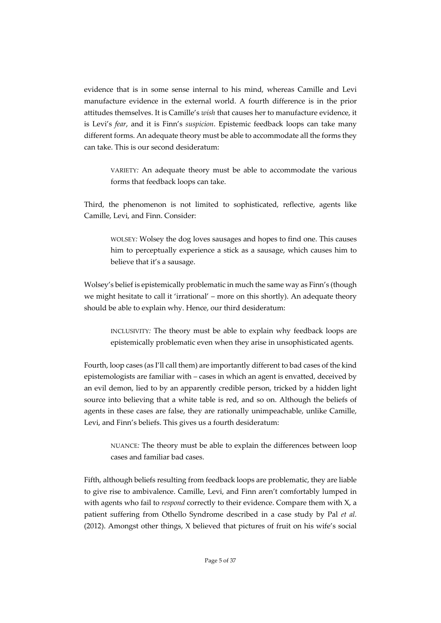evidence that is in some sense internal to his mind, whereas Camille and Levi manufacture evidence in the external world. A fourth difference is in the prior attitudes themselves. It is Camille's *wish* that causes her to manufacture evidence, it is Levi's *fear*, and it is Finn's *suspicion*. Epistemic feedback loops can take many different forms. An adequate theory must be able to accommodate all the forms they can take. This is our second desideratum:

VARIETY*:* An adequate theory must be able to accommodate the various forms that feedback loops can take.

Third, the phenomenon is not limited to sophisticated, reflective, agents like Camille, Levi, and Finn. Consider:

WOLSEY*:* Wolsey the dog loves sausages and hopes to find one. This causes him to perceptually experience a stick as a sausage, which causes him to believe that it's a sausage.

Wolsey's belief is epistemically problematic in much the same way as Finn's (though we might hesitate to call it 'irrational' – more on this shortly). An adequate theory should be able to explain why. Hence, our third desideratum:

INCLUSIVITY*:* The theory must be able to explain why feedback loops are epistemically problematic even when they arise in unsophisticated agents.

Fourth, loop cases (as I'll call them) are importantly different to bad cases of the kind epistemologists are familiar with – cases in which an agent is envatted, deceived by an evil demon, lied to by an apparently credible person, tricked by a hidden light source into believing that a white table is red, and so on. Although the beliefs of agents in these cases are false, they are rationally unimpeachable, unlike Camille, Levi, and Finn's beliefs. This gives us a fourth desideratum:

NUANCE*:* The theory must be able to explain the differences between loop cases and familiar bad cases.

Fifth, although beliefs resulting from feedback loops are problematic, they are liable to give rise to ambivalence. Camille, Levi, and Finn aren't comfortably lumped in with agents who fail to *respond* correctly to their evidence. Compare them with X, a patient suffering from Othello Syndrome described in a case study by Pal *et al.* (2012). Amongst other things, X believed that pictures of fruit on his wife's social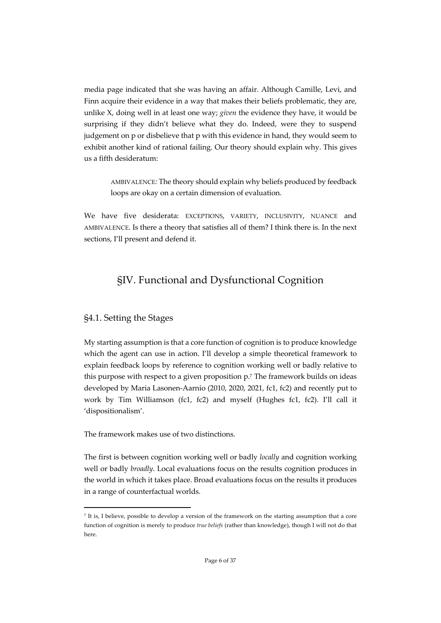media page indicated that she was having an affair. Although Camille, Levi, and Finn acquire their evidence in a way that makes their beliefs problematic, they are, unlike X, doing well in at least one way; *given* the evidence they have, it would be surprising if they didn't believe what they do. Indeed, were they to suspend judgement on p or disbelieve that p with this evidence in hand, they would seem to exhibit another kind of rational failing. Our theory should explain why. This gives us a fifth desideratum:

AMBIVALENCE*:* The theory should explain why beliefs produced by feedback loops are okay on a certain dimension of evaluation.

We have five desiderata: EXCEPTIONS, VARIETY, INCLUSIVITY, NUANCE and AMBIVALENCE. Is there a theory that satisfies all of them? I think there is. In the next sections, I'll present and defend it.

# §IV. Functional and Dysfunctional Cognition

### §4.1. Setting the Stages

My starting assumption is that a core function of cognition is to produce knowledge which the agent can use in action. I'll develop a simple theoretical framework to explain feedback loops by reference to cognition working well or badly relative to this purpose with respect to a given proposition p.7 The framework builds on ideas developed by Maria Lasonen-Aarnio (2010, 2020, 2021, fc1, fc2) and recently put to work by Tim Williamson (fc1, fc2) and myself (Hughes fc1, fc2). I'll call it 'dispositionalism'.

The framework makes use of two distinctions.

The first is between cognition working well or badly *locally* and cognition working well or badly *broadly*. Local evaluations focus on the results cognition produces in the world in which it takes place. Broad evaluations focus on the results it produces in a range of counterfactual worlds.

<sup>7</sup> It is, I believe, possible to develop a version of the framework on the starting assumption that a core function of cognition is merely to produce *true beliefs* (rather than knowledge), though I will not do that here.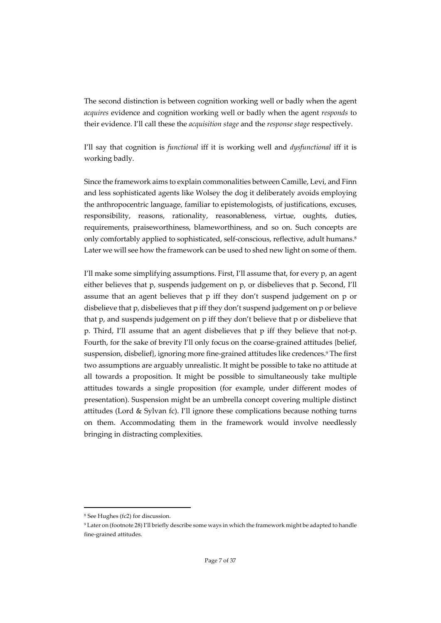The second distinction is between cognition working well or badly when the agent *acquires* evidence and cognition working well or badly when the agent *responds* to their evidence. I'll call these the *acquisition stage* and the *response stage* respectively.

I'll say that cognition is *functional* iff it is working well and *dysfunctional* iff it is working badly.

Since the framework aims to explain commonalities between Camille, Levi, and Finn and less sophisticated agents like Wolsey the dog it deliberately avoids employing the anthropocentric language, familiar to epistemologists, of justifications, excuses, responsibility, reasons, rationality, reasonableness, virtue, oughts, duties, requirements, praiseworthiness, blameworthiness, and so on. Such concepts are only comfortably applied to sophisticated, self-conscious, reflective, adult humans.8 Later we will see how the framework can be used to shed new light on some of them.

I'll make some simplifying assumptions. First, I'll assume that, for every p, an agent either believes that p, suspends judgement on p, or disbelieves that p. Second, I'll assume that an agent believes that p iff they don't suspend judgement on p or disbelieve that p, disbelieves that p iff they don't suspend judgement on p or believe that p, and suspends judgement on p iff they don't believe that p or disbelieve that p. Third, I'll assume that an agent disbelieves that p iff they believe that not-p. Fourth, for the sake of brevity I'll only focus on the coarse-grained attitudes {belief, suspension, disbelief}, ignoring more fine-grained attitudes like credences.<sup>9</sup> The first two assumptions are arguably unrealistic. It might be possible to take no attitude at all towards a proposition. It might be possible to simultaneously take multiple attitudes towards a single proposition (for example, under different modes of presentation). Suspension might be an umbrella concept covering multiple distinct attitudes (Lord & Sylvan fc). I'll ignore these complications because nothing turns on them. Accommodating them in the framework would involve needlessly bringing in distracting complexities.

<sup>8</sup> See Hughes (fc2) for discussion.

<sup>9</sup> Later on (footnote 28) I'll briefly describe some ways in which the framework might be adapted to handle fine-grained attitudes.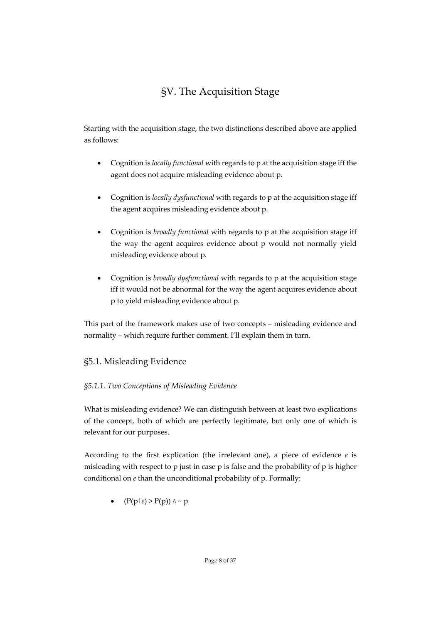# §V. The Acquisition Stage

Starting with the acquisition stage, the two distinctions described above are applied as follows:

- Cognition is *locally functional* with regards to p at the acquisition stage iff the agent does not acquire misleading evidence about p.
- Cognition is *locally dysfunctional* with regards to p at the acquisition stage iff the agent acquires misleading evidence about p.
- Cognition is *broadly functional* with regards to p at the acquisition stage iff the way the agent acquires evidence about p would not normally yield misleading evidence about p.
- Cognition is *broadly dysfunctional* with regards to p at the acquisition stage iff it would not be abnormal for the way the agent acquires evidence about p to yield misleading evidence about p.

This part of the framework makes use of two concepts – misleading evidence and normality – which require further comment. I'll explain them in turn.

# §5.1. Misleading Evidence

# *§5.1.1. Two Conceptions of Misleading Evidence*

What is misleading evidence? We can distinguish between at least two explications of the concept, both of which are perfectly legitimate, but only one of which is relevant for our purposes.

According to the first explication (the irrelevant one), a piece of evidence *e* is misleading with respect to p just in case p is false and the probability of p is higher conditional on *e* than the unconditional probability of p. Formally:

 $(P(p|e) > P(p))$   $\wedge \sim p$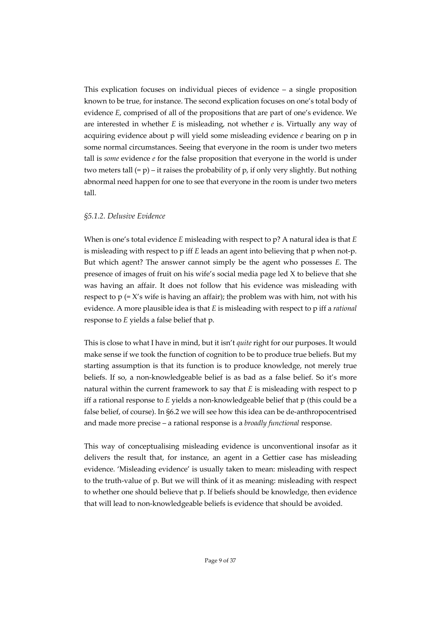This explication focuses on individual pieces of evidence – a single proposition known to be true, for instance. The second explication focuses on one's total body of evidence *E*, comprised of all of the propositions that are part of one's evidence. We are interested in whether *E* is misleading, not whether *e* is. Virtually any way of acquiring evidence about p will yield some misleading evidence *e* bearing on p in some normal circumstances. Seeing that everyone in the room is under two meters tall is *some* evidence *e* for the false proposition that everyone in the world is under two meters tall  $(= p) - i t$  raises the probability of p, if only very slightly. But nothing abnormal need happen for one to see that everyone in the room is under two meters tall.

#### *§5.1.2. Delusive Evidence*

When is one's total evidence *E* misleading with respect to p? A natural idea is that *E* is misleading with respect to p iff *E* leads an agent into believing that p when not-p. But which agent? The answer cannot simply be the agent who possesses *E*. The presence of images of fruit on his wife's social media page led X to believe that she was having an affair. It does not follow that his evidence was misleading with respect to  $p (= X's$  wife is having an affair); the problem was with him, not with his evidence. A more plausible idea is that *E* is misleading with respect to p iff a *rational*  response to *E* yields a false belief that p.

This is close to what I have in mind, but it isn't *quite* right for our purposes. It would make sense if we took the function of cognition to be to produce true beliefs. But my starting assumption is that its function is to produce knowledge, not merely true beliefs. If so, a non-knowledgeable belief is as bad as a false belief. So it's more natural within the current framework to say that *E* is misleading with respect to p iff a rational response to *E* yields a non-knowledgeable belief that p (this could be a false belief, of course). In §6.2 we will see how this idea can be de-anthropocentrised and made more precise – a rational response is a *broadly functional* response.

This way of conceptualising misleading evidence is unconventional insofar as it delivers the result that, for instance, an agent in a Gettier case has misleading evidence. 'Misleading evidence' is usually taken to mean: misleading with respect to the truth-value of p. But we will think of it as meaning: misleading with respect to whether one should believe that p. If beliefs should be knowledge, then evidence that will lead to non-knowledgeable beliefs is evidence that should be avoided.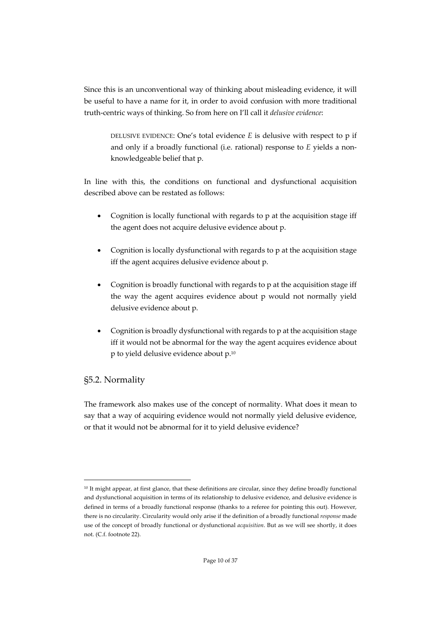Since this is an unconventional way of thinking about misleading evidence, it will be useful to have a name for it, in order to avoid confusion with more traditional truth-centric ways of thinking. So from here on I'll call it *delusive evidence*:

DELUSIVE EVIDENCE: One's total evidence *E* is delusive with respect to p if and only if a broadly functional (i.e. rational) response to *E* yields a nonknowledgeable belief that p.

In line with this, the conditions on functional and dysfunctional acquisition described above can be restated as follows:

- Cognition is locally functional with regards to p at the acquisition stage iff the agent does not acquire delusive evidence about p.
- Cognition is locally dysfunctional with regards to p at the acquisition stage iff the agent acquires delusive evidence about p.
- Cognition is broadly functional with regards to p at the acquisition stage iff the way the agent acquires evidence about p would not normally yield delusive evidence about p.
- Cognition is broadly dysfunctional with regards to p at the acquisition stage iff it would not be abnormal for the way the agent acquires evidence about p to yield delusive evidence about p.10

# §5.2. Normality

The framework also makes use of the concept of normality. What does it mean to say that a way of acquiring evidence would not normally yield delusive evidence, or that it would not be abnormal for it to yield delusive evidence?

<sup>&</sup>lt;sup>10</sup> It might appear, at first glance, that these definitions are circular, since they define broadly functional and dysfunctional acquisition in terms of its relationship to delusive evidence, and delusive evidence is defined in terms of a broadly functional response (thanks to a referee for pointing this out). However, there is no circularity. Circularity would only arise if the definition of a broadly functional *response* made use of the concept of broadly functional or dysfunctional *acquisition*. But as we will see shortly, it does not. (C.f. footnote 22).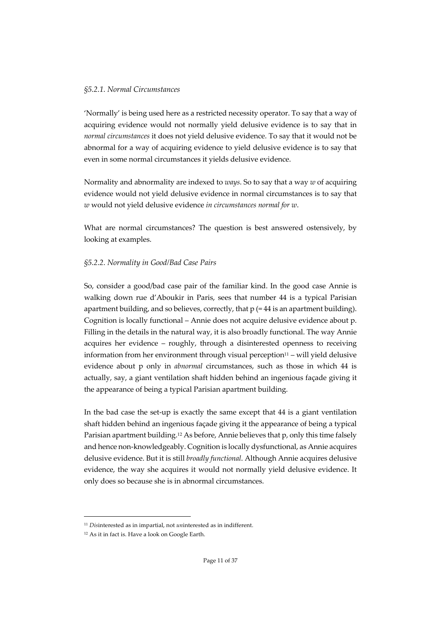#### *§5.2.1. Normal Circumstances*

'Normally' is being used here as a restricted necessity operator. To say that a way of acquiring evidence would not normally yield delusive evidence is to say that in *normal circumstances* it does not yield delusive evidence. To say that it would not be abnormal for a way of acquiring evidence to yield delusive evidence is to say that even in some normal circumstances it yields delusive evidence.

Normality and abnormality are indexed to *ways*. So to say that a way *w* of acquiring evidence would not yield delusive evidence in normal circumstances is to say that *w* would not yield delusive evidence *in circumstances normal for w*.

What are normal circumstances? The question is best answered ostensively, by looking at examples.

### *§5.2.2. Normality in Good/Bad Case Pairs*

So, consider a good/bad case pair of the familiar kind. In the good case Annie is walking down rue d'Aboukir in Paris, sees that number 44 is a typical Parisian apartment building, and so believes, correctly, that  $p (= 44$  is an apartment building). Cognition is locally functional – Annie does not acquire delusive evidence about p. Filling in the details in the natural way, it is also broadly functional. The way Annie acquires her evidence – roughly, through a disinterested openness to receiving information from her environment through visual perception $11 -$  will yield delusive evidence about p only in *abnormal* circumstances, such as those in which 44 is actually, say, a giant ventilation shaft hidden behind an ingenious façade giving it the appearance of being a typical Parisian apartment building.

In the bad case the set-up is exactly the same except that 44 is a giant ventilation shaft hidden behind an ingenious façade giving it the appearance of being a typical Parisian apartment building.12 As before, Annie believes that p, only this time falsely and hence non-knowledgeably. Cognition is locally dysfunctional, as Annie acquires delusive evidence. But it is still *broadly functional*. Although Annie acquires delusive evidence, the way she acquires it would not normally yield delusive evidence. It only does so because she is in abnormal circumstances.

<sup>11</sup> *Dis*interested as in impartial, not *un*interested as in indifferent.

<sup>12</sup> As it in fact is. Have a look on Google Earth.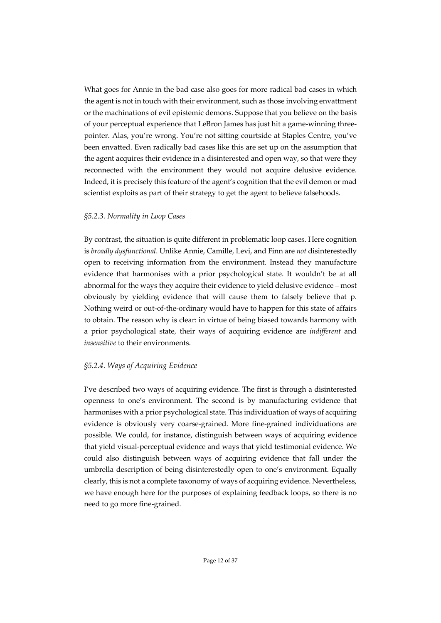What goes for Annie in the bad case also goes for more radical bad cases in which the agent is not in touch with their environment, such as those involving envattment or the machinations of evil epistemic demons. Suppose that you believe on the basis of your perceptual experience that LeBron James has just hit a game-winning threepointer. Alas, you're wrong. You're not sitting courtside at Staples Centre, you've been envatted. Even radically bad cases like this are set up on the assumption that the agent acquires their evidence in a disinterested and open way, so that were they reconnected with the environment they would not acquire delusive evidence. Indeed, it is precisely this feature of the agent's cognition that the evil demon or mad scientist exploits as part of their strategy to get the agent to believe falsehoods.

### *§5.2.3. Normality in Loop Cases*

By contrast, the situation is quite different in problematic loop cases. Here cognition is *broadly dysfunctional*. Unlike Annie, Camille, Levi, and Finn are *not* disinterestedly open to receiving information from the environment. Instead they manufacture evidence that harmonises with a prior psychological state. It wouldn't be at all abnormal for the ways they acquire their evidence to yield delusive evidence – most obviously by yielding evidence that will cause them to falsely believe that p. Nothing weird or out-of-the-ordinary would have to happen for this state of affairs to obtain. The reason why is clear: in virtue of being biased towards harmony with a prior psychological state, their ways of acquiring evidence are *indifferent* and *insensitive* to their environments.

### *§5.2.4. Ways of Acquiring Evidence*

I've described two ways of acquiring evidence. The first is through a disinterested openness to one's environment. The second is by manufacturing evidence that harmonises with a prior psychological state. This individuation of ways of acquiring evidence is obviously very coarse-grained. More fine-grained individuations are possible. We could, for instance, distinguish between ways of acquiring evidence that yield visual-perceptual evidence and ways that yield testimonial evidence. We could also distinguish between ways of acquiring evidence that fall under the umbrella description of being disinterestedly open to one's environment. Equally clearly, this is not a complete taxonomy of ways of acquiring evidence. Nevertheless, we have enough here for the purposes of explaining feedback loops, so there is no need to go more fine-grained.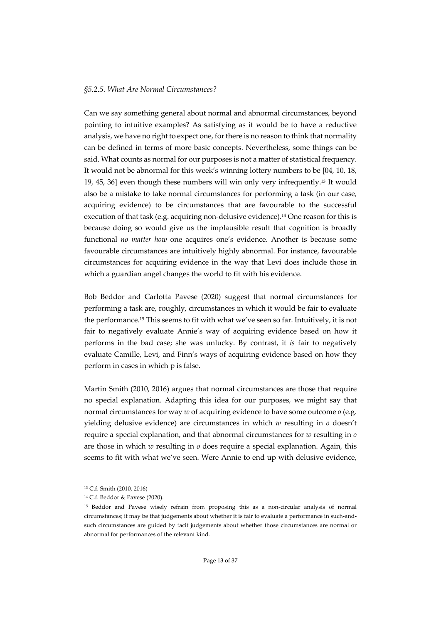#### *§5.2.5. What Are Normal Circumstances?*

Can we say something general about normal and abnormal circumstances, beyond pointing to intuitive examples? As satisfying as it would be to have a reductive analysis, we have no right to expect one, for there is no reason to think that normality can be defined in terms of more basic concepts. Nevertheless, some things can be said. What counts as normal for our purposes is not a matter of statistical frequency. It would not be abnormal for this week's winning lottery numbers to be [04, 10, 18, 19, 45, 36] even though these numbers will win only very infrequently. <sup>13</sup> It would also be a mistake to take normal circumstances for performing a task (in our case, acquiring evidence) to be circumstances that are favourable to the successful execution of that task (e.g. acquiring non-delusive evidence).<sup>14</sup> One reason for this is because doing so would give us the implausible result that cognition is broadly functional *no matter how* one acquires one's evidence. Another is because some favourable circumstances are intuitively highly abnormal. For instance, favourable circumstances for acquiring evidence in the way that Levi does include those in which a guardian angel changes the world to fit with his evidence.

Bob Beddor and Carlotta Pavese (2020) suggest that normal circumstances for performing a task are, roughly, circumstances in which it would be fair to evaluate the performance.15 This seems to fit with what we've seen so far. Intuitively, it is not fair to negatively evaluate Annie's way of acquiring evidence based on how it performs in the bad case; she was unlucky. By contrast, it *is* fair to negatively evaluate Camille, Levi, and Finn's ways of acquiring evidence based on how they perform in cases in which p is false.

Martin Smith (2010, 2016) argues that normal circumstances are those that require no special explanation. Adapting this idea for our purposes, we might say that normal circumstances for way *w* of acquiring evidence to have some outcome *o* (e.g. yielding delusive evidence) are circumstances in which *w* resulting in *o* doesn't require a special explanation, and that abnormal circumstances for *w* resulting in *o* are those in which *w* resulting in *o* does require a special explanation. Again, this seems to fit with what we've seen. Were Annie to end up with delusive evidence,

<sup>13</sup> C.f. Smith (2010, 2016)

<sup>14</sup> C.f. Beddor & Pavese (2020).

<sup>15</sup> Beddor and Pavese wisely refrain from proposing this as a non-circular analysis of normal circumstances; it may be that judgements about whether it is fair to evaluate a performance in such-andsuch circumstances are guided by tacit judgements about whether those circumstances are normal or abnormal for performances of the relevant kind.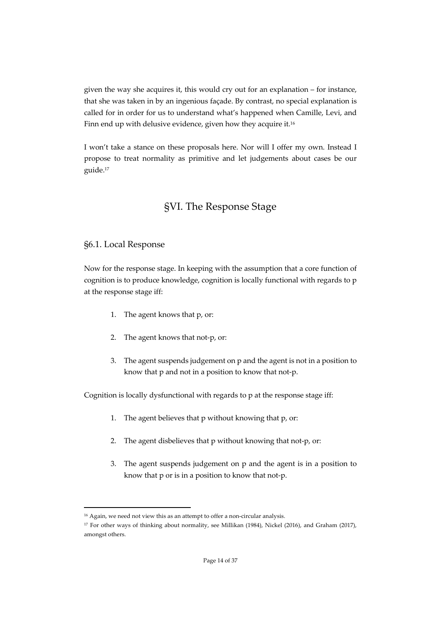given the way she acquires it, this would cry out for an explanation – for instance, that she was taken in by an ingenious façade. By contrast, no special explanation is called for in order for us to understand what's happened when Camille, Levi, and Finn end up with delusive evidence, given how they acquire it.<sup>16</sup>

I won't take a stance on these proposals here. Nor will I offer my own. Instead I propose to treat normality as primitive and let judgements about cases be our guide.17

# §VI. The Response Stage

# §6.1. Local Response

Now for the response stage. In keeping with the assumption that a core function of cognition is to produce knowledge, cognition is locally functional with regards to p at the response stage iff:

- 1. The agent knows that p, or:
- 2. The agent knows that not-p, or:
- 3. The agent suspends judgement on p and the agent is not in a position to know that p and not in a position to know that not-p.

Cognition is locally dysfunctional with regards to p at the response stage iff:

- 1. The agent believes that p without knowing that p, or:
- 2. The agent disbelieves that p without knowing that not-p, or:
- 3. The agent suspends judgement on p and the agent is in a position to know that p or is in a position to know that not-p.

<sup>16</sup> Again, we need not view this as an attempt to offer a non-circular analysis.

<sup>17</sup> For other ways of thinking about normality, see Millikan (1984), Nickel (2016), and Graham (2017), amongst others.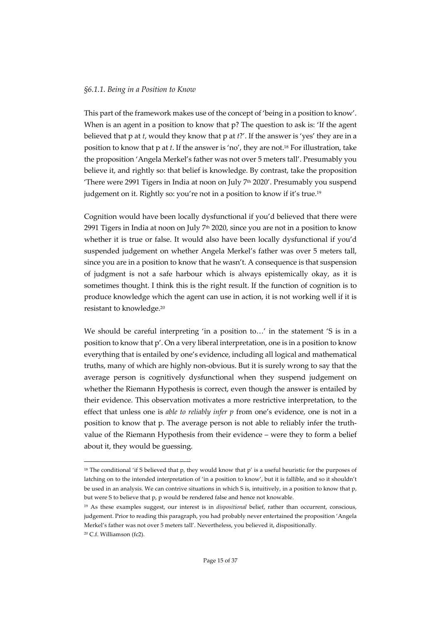#### *§6.1.1. Being in a Position to Know*

This part of the framework makes use of the concept of 'being in a position to know'. When is an agent in a position to know that p? The question to ask is: 'If the agent believed that p at *t*, would they know that p at *t*?'. If the answer is 'yes' they are in a position to know that p at *t*. If the answer is 'no', they are not.18 For illustration, take the proposition 'Angela Merkel's father was not over 5 meters tall'. Presumably you believe it, and rightly so: that belief is knowledge. By contrast, take the proposition 'There were 2991 Tigers in India at noon on July 7th 2020'. Presumably you suspend judgement on it. Rightly so: you're not in a position to know if it's true.<sup>19</sup>

Cognition would have been locally dysfunctional if you'd believed that there were 2991 Tigers in India at noon on July  $7<sup>th</sup>$  2020, since you are not in a position to know whether it is true or false. It would also have been locally dysfunctional if you'd suspended judgement on whether Angela Merkel's father was over 5 meters tall, since you are in a position to know that he wasn't. A consequence is that suspension of judgment is not a safe harbour which is always epistemically okay, as it is sometimes thought. I think this is the right result. If the function of cognition is to produce knowledge which the agent can use in action, it is not working well if it is resistant to knowledge.20

We should be careful interpreting 'in a position to…' in the statement 'S is in a position to know that p'. On a very liberal interpretation, one is in a position to know everything that is entailed by one's evidence, including all logical and mathematical truths, many of which are highly non-obvious. But it is surely wrong to say that the average person is cognitively dysfunctional when they suspend judgement on whether the Riemann Hypothesis is correct, even though the answer is entailed by their evidence. This observation motivates a more restrictive interpretation, to the effect that unless one is *able to reliably infer p* from one's evidence, one is not in a position to know that p. The average person is not able to reliably infer the truthvalue of the Riemann Hypothesis from their evidence – were they to form a belief about it, they would be guessing.

<sup>&</sup>lt;sup>18</sup> The conditional 'if S believed that p, they would know that p' is a useful heuristic for the purposes of latching on to the intended interpretation of 'in a position to know', but it is fallible, and so it shouldn't be used in an analysis. We can contrive situations in which S is, intuitively, in a position to know that p, but were S to believe that p, p would be rendered false and hence not knowable.

<sup>19</sup> As these examples suggest, our interest is in *dispositional* belief, rather than occurrent, conscious, judgement. Prior to reading this paragraph, you had probably never entertained the proposition 'Angela Merkel's father was not over 5 meters tall'. Nevertheless, you believed it, dispositionally. <sup>20</sup> C.f. Williamson (fc2).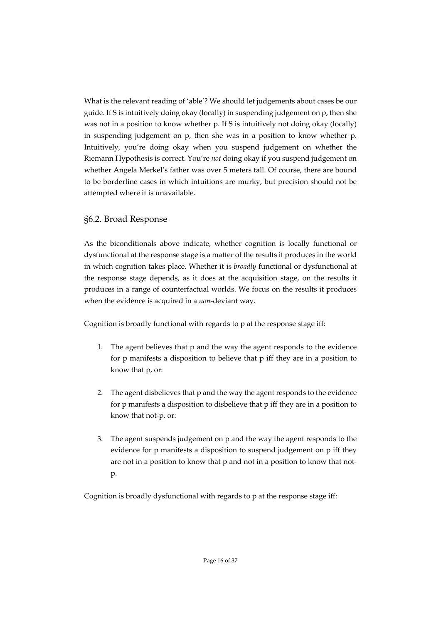What is the relevant reading of 'able'? We should let judgements about cases be our guide. If S is intuitively doing okay (locally) in suspending judgement on p, then she was not in a position to know whether p. If S is intuitively not doing okay (locally) in suspending judgement on p, then she was in a position to know whether p. Intuitively, you're doing okay when you suspend judgement on whether the Riemann Hypothesis is correct. You're *not* doing okay if you suspend judgement on whether Angela Merkel's father was over 5 meters tall. Of course, there are bound to be borderline cases in which intuitions are murky, but precision should not be attempted where it is unavailable.

### §6.2. Broad Response

As the biconditionals above indicate, whether cognition is locally functional or dysfunctional at the response stage is a matter of the results it produces in the world in which cognition takes place. Whether it is *broadly* functional or dysfunctional at the response stage depends, as it does at the acquisition stage, on the results it produces in a range of counterfactual worlds. We focus on the results it produces when the evidence is acquired in a *non*-deviant way.

Cognition is broadly functional with regards to p at the response stage iff:

- 1. The agent believes that p and the way the agent responds to the evidence for p manifests a disposition to believe that p iff they are in a position to know that p, or:
- 2. The agent disbelieves that p and the way the agent responds to the evidence for p manifests a disposition to disbelieve that p iff they are in a position to know that not-p, or:
- 3. The agent suspends judgement on p and the way the agent responds to the evidence for p manifests a disposition to suspend judgement on p iff they are not in a position to know that p and not in a position to know that notp.

Cognition is broadly dysfunctional with regards to p at the response stage iff: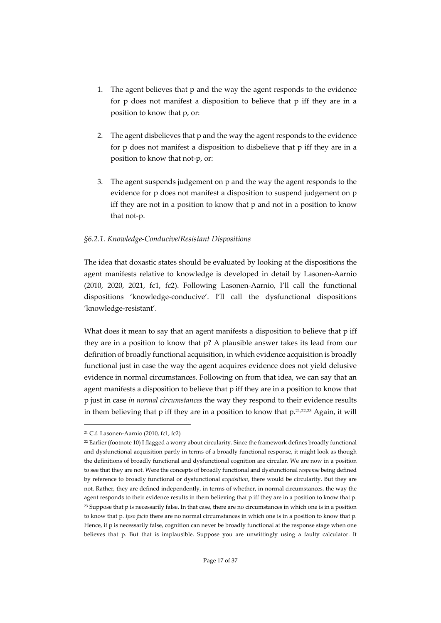- 1. The agent believes that p and the way the agent responds to the evidence for p does not manifest a disposition to believe that p iff they are in a position to know that p, or:
- 2. The agent disbelieves that p and the way the agent responds to the evidence for p does not manifest a disposition to disbelieve that p iff they are in a position to know that not-p, or:
- 3. The agent suspends judgement on p and the way the agent responds to the evidence for p does not manifest a disposition to suspend judgement on p iff they are not in a position to know that p and not in a position to know that not-p.

### *§6.2.1. Knowledge-Conducive/Resistant Dispositions*

The idea that doxastic states should be evaluated by looking at the dispositions the agent manifests relative to knowledge is developed in detail by Lasonen-Aarnio (2010, 2020, 2021, fc1, fc2). Following Lasonen-Aarnio, I'll call the functional dispositions 'knowledge-conducive'. I'll call the dysfunctional dispositions 'knowledge-resistant'.

What does it mean to say that an agent manifests a disposition to believe that p iff they are in a position to know that p? A plausible answer takes its lead from our definition of broadly functional acquisition, in which evidence acquisition is broadly functional just in case the way the agent acquires evidence does not yield delusive evidence in normal circumstances. Following on from that idea, we can say that an agent manifests a disposition to believe that p iff they are in a position to know that p just in case *in normal circumstances* the way they respond to their evidence results in them believing that p iff they are in a position to know that p.21,22,23 Again, it will

<sup>21</sup> C.f. Lasonen-Aarnio (2010, fc1, fc2)

<sup>22</sup> Earlier (footnote 10) I flagged a worry about circularity. Since the framework defines broadly functional and dysfunctional acquisition partly in terms of a broadly functional response, it might look as though the definitions of broadly functional and dysfunctional cognition are circular. We are now in a position to see that they are not. Were the concepts of broadly functional and dysfunctional *response* being defined by reference to broadly functional or dysfunctional *acquisition*, there would be circularity. But they are not. Rather, they are defined independently, in terms of whether, in normal circumstances, the way the agent responds to their evidence results in them believing that p iff they are in a position to know that p. <sup>23</sup> Suppose that p is necessarily false. In that case, there are no circumstances in which one is in a position to know that p. *Ipso facto* there are no normal circumstances in which one is in a position to know that p. Hence, if p is necessarily false, cognition can never be broadly functional at the response stage when one believes that p. But that is implausible. Suppose you are unwittingly using a faulty calculator. It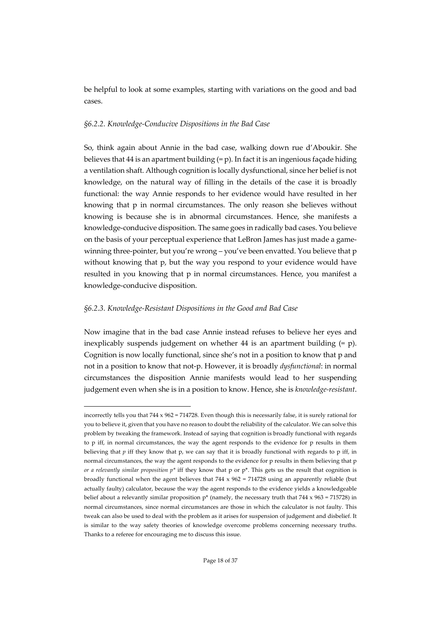be helpful to look at some examples, starting with variations on the good and bad cases.

#### *§6.2.2. Knowledge-Conducive Dispositions in the Bad Case*

So, think again about Annie in the bad case, walking down rue d'Aboukir. She believes that 44 is an apartment building  $(= p)$ . In fact it is an ingenious façade hiding a ventilation shaft. Although cognition is locally dysfunctional, since her belief is not knowledge, on the natural way of filling in the details of the case it is broadly functional: the way Annie responds to her evidence would have resulted in her knowing that p in normal circumstances. The only reason she believes without knowing is because she is in abnormal circumstances. Hence, she manifests a knowledge-conducive disposition. The same goes in radically bad cases. You believe on the basis of your perceptual experience that LeBron James has just made a gamewinning three-pointer, but you're wrong – you've been envatted. You believe that p without knowing that p, but the way you respond to your evidence would have resulted in you knowing that p in normal circumstances. Hence, you manifest a knowledge-conducive disposition.

#### *§6.2.3. Knowledge-Resistant Dispositions in the Good and Bad Case*

Now imagine that in the bad case Annie instead refuses to believe her eyes and inexplicably suspends judgement on whether  $44$  is an apartment building  $(= p)$ . Cognition is now locally functional, since she's not in a position to know that p and not in a position to know that not-p. However, it is broadly *dysfunctional*: in normal circumstances the disposition Annie manifests would lead to her suspending judgement even when she is in a position to know. Hence, she is *knowledge-resistant*.

incorrectly tells you that  $744 \times 962 = 714728$ . Even though this is necessarily false, it is surely rational for you to believe it, given that you have no reason to doubt the reliability of the calculator. We can solve this problem by tweaking the framework. Instead of saying that cognition is broadly functional with regards to p iff, in normal circumstances, the way the agent responds to the evidence for p results in them believing that *p* iff they know that p, we can say that it is broadly functional with regards to p iff, in normal circumstances, the way the agent responds to the evidence for p results in them believing that p *or a relevantly similar proposition p\** iff they know that p or p\*. This gets us the result that cognition is broadly functional when the agent believes that  $744 \times 962 = 714728$  using an apparently reliable (but actually faulty) calculator, because the way the agent responds to the evidence yields a knowledgeable belief about a relevantly similar proposition  $p^*$  (namely, the necessary truth that 744 x 963 = 715728) in normal circumstances, since normal circumstances are those in which the calculator is not faulty. This tweak can also be used to deal with the problem as it arises for suspension of judgement and disbelief. It is similar to the way safety theories of knowledge overcome problems concerning necessary truths. Thanks to a referee for encouraging me to discuss this issue.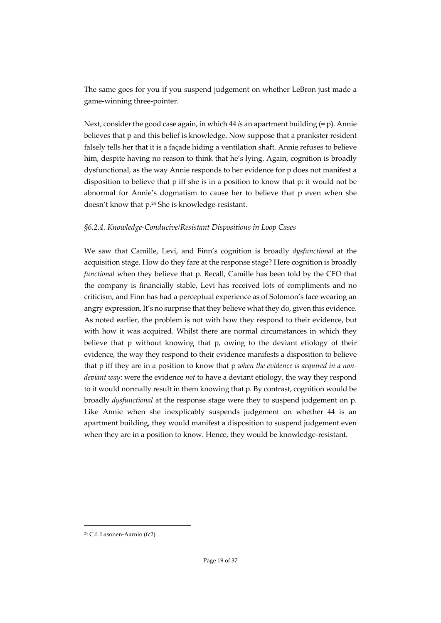The same goes for you if you suspend judgement on whether LeBron just made a game-winning three-pointer.

Next, consider the good case again, in which 44 *is* an apartment building (= p). Annie believes that p and this belief is knowledge. Now suppose that a prankster resident falsely tells her that it is a façade hiding a ventilation shaft. Annie refuses to believe him, despite having no reason to think that he's lying. Again, cognition is broadly dysfunctional, as the way Annie responds to her evidence for p does not manifest a disposition to believe that p iff she is in a position to know that p: it would not be abnormal for Annie's dogmatism to cause her to believe that p even when she doesn't know that p.24 She is knowledge-resistant.

### *§6.2.4. Knowledge-Conducive/Resistant Dispositions in Loop Cases*

We saw that Camille, Levi, and Finn's cognition is broadly *dysfunctional* at the acquisition stage. How do they fare at the response stage? Here cognition is broadly *functional* when they believe that p. Recall, Camille has been told by the CFO that the company is financially stable, Levi has received lots of compliments and no criticism, and Finn has had a perceptual experience as of Solomon's face wearing an angry expression. It's no surprise that they believe what they do, given this evidence. As noted earlier, the problem is not with how they respond to their evidence, but with how it was acquired. Whilst there are normal circumstances in which they believe that p without knowing that p, owing to the deviant etiology of their evidence, the way they respond to their evidence manifests a disposition to believe that p iff they are in a position to know that p *when the evidence is acquired in a nondeviant way*: were the evidence *not* to have a deviant etiology, the way they respond to it would normally result in them knowing that p. By contrast, cognition would be broadly *dysfunctional* at the response stage were they to suspend judgement on p. Like Annie when she inexplicably suspends judgement on whether 44 is an apartment building, they would manifest a disposition to suspend judgement even when they are in a position to know. Hence, they would be knowledge-resistant.

<sup>24</sup> C.f. Lasonen-Aarnio (fc2)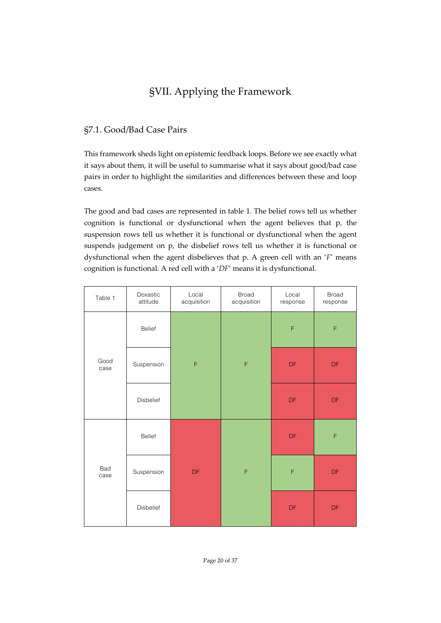# §VII. Applying the Framework

# §7.1. Good/Bad Case Pairs

This framework sheds light on epistemic feedback loops. Before we see exactly what it says about them, it will be useful to summarise what it says about good/bad case pairs in order to highlight the similarities and differences between these and loop cases.

The good and bad cases are represented in table 1. The belief rows tell us whether cognition is functional or dysfunctional when the agent believes that p, the suspension rows tell us whether it is functional or dysfunctional when the agent suspends judgement on p, the disbelief rows tell us whether it is functional or dysfunctional when the agent disbelieves that p. A green cell with an '*F*' means cognition is functional. A red cell with a '*DF*' means it is dysfunctional.

| Table 1      | Doxastic<br>attitude | Local<br>acquisition   | <b>Broad</b><br>acquisition | Local<br>response | <b>Broad</b><br>response |
|--------------|----------------------|------------------------|-----------------------------|-------------------|--------------------------|
| Good<br>case | <b>Belief</b>        | $\mathsf F$            | $\mathsf F$                 | F                 | F                        |
|              | Suspension           |                        |                             | <b>DF</b>         | DF                       |
|              | Disbelief            |                        |                             | DF                | DF                       |
| Bad<br>case  | Belief               | $\mathsf{D}\mathsf{F}$ | $\mathsf F$                 | <b>DF</b>         | F                        |
|              | Suspension           |                        |                             | F                 | DF                       |
|              | Disbelief            |                        |                             | DF                | $\mathsf{D}\mathsf{F}$   |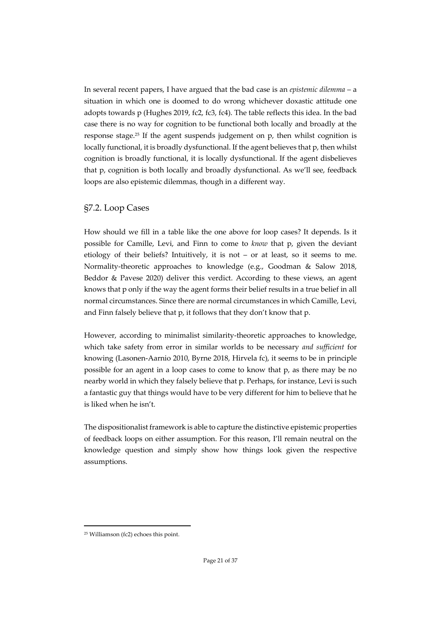In several recent papers, I have argued that the bad case is an *epistemic dilemma* – a situation in which one is doomed to do wrong whichever doxastic attitude one adopts towards p (Hughes 2019, fc2, fc3, fc4). The table reflects this idea. In the bad case there is no way for cognition to be functional both locally and broadly at the response stage.25 If the agent suspends judgement on p, then whilst cognition is locally functional, it is broadly dysfunctional. If the agent believes that p, then whilst cognition is broadly functional, it is locally dysfunctional. If the agent disbelieves that p, cognition is both locally and broadly dysfunctional. As we'll see, feedback loops are also epistemic dilemmas, though in a different way.

### §7.2. Loop Cases

How should we fill in a table like the one above for loop cases? It depends. Is it possible for Camille, Levi, and Finn to come to *know* that p, given the deviant etiology of their beliefs? Intuitively, it is not – or at least, so it seems to me. Normality-theoretic approaches to knowledge (e.g., Goodman & Salow 2018, Beddor & Pavese 2020) deliver this verdict. According to these views, an agent knows that p only if the way the agent forms their belief results in a true belief in all normal circumstances. Since there are normal circumstances in which Camille, Levi, and Finn falsely believe that p, it follows that they don't know that p.

However, according to minimalist similarity-theoretic approaches to knowledge, which take safety from error in similar worlds to be necessary *and sufficient* for knowing (Lasonen-Aarnio 2010, Byrne 2018, Hirvela fc), it seems to be in principle possible for an agent in a loop cases to come to know that p, as there may be no nearby world in which they falsely believe that p. Perhaps, for instance, Levi is such a fantastic guy that things would have to be very different for him to believe that he is liked when he isn't.

The dispositionalist framework is able to capture the distinctive epistemic properties of feedback loops on either assumption. For this reason, I'll remain neutral on the knowledge question and simply show how things look given the respective assumptions.

<sup>25</sup> Williamson (fc2) echoes this point.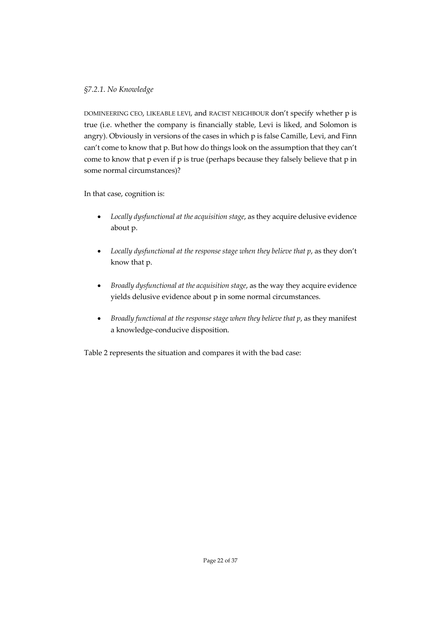### *§7.2.1. No Knowledge*

DOMINEERING CEO, LIKEABLE LEVI, and RACIST NEIGHBOUR don't specify whether p is true (i.e. whether the company is financially stable, Levi is liked, and Solomon is angry). Obviously in versions of the cases in which p is false Camille, Levi, and Finn can't come to know that p. But how do things look on the assumption that they can't come to know that p even if p is true (perhaps because they falsely believe that p in some normal circumstances)?

In that case, cognition is:

- *Locally dysfunctional at the acquisition stage*, as they acquire delusive evidence about p.
- *Locally dysfunctional at the response stage when they believe that p*, as they don't know that p.
- *Broadly dysfunctional at the acquisition stage*, as the way they acquire evidence yields delusive evidence about p in some normal circumstances.
- *Broadly functional at the response stage when they believe that p*, as they manifest a knowledge-conducive disposition.

Table 2 represents the situation and compares it with the bad case: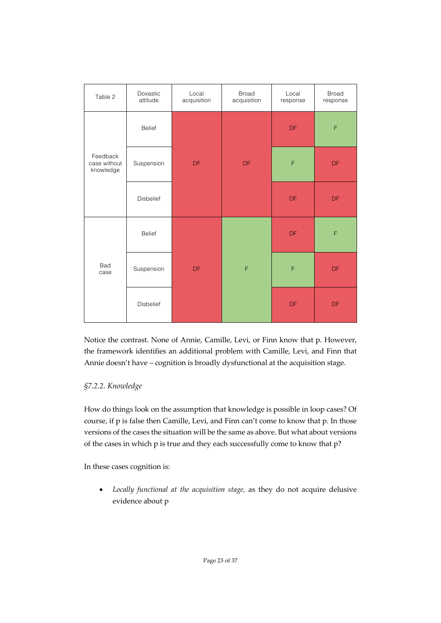| Table 2                               | Doxastic<br>attitude | Local<br>acquisition | <b>Broad</b><br>acquisition | Local<br>response | <b>Broad</b><br>response |
|---------------------------------------|----------------------|----------------------|-----------------------------|-------------------|--------------------------|
| Feedback<br>case without<br>knowledge | <b>Belief</b>        | DF                   | DF                          | <b>DF</b>         | $\mathsf F$              |
|                                       | Suspension           |                      |                             | F                 | <b>DF</b>                |
|                                       | <b>Disbelief</b>     |                      |                             | <b>DF</b>         | <b>DF</b>                |
| <b>Bad</b><br>case                    | <b>Belief</b>        | DF                   | $\mathsf F$                 | DF                | F                        |
|                                       | Suspension           |                      |                             | F                 | DF                       |
|                                       | <b>Disbelief</b>     |                      |                             | DF                | DF                       |

Notice the contrast. None of Annie, Camille, Levi, or Finn know that p. However, the framework identifies an additional problem with Camille, Levi, and Finn that Annie doesn't have – cognition is broadly dysfunctional at the acquisition stage.

### *§7.2.2. Knowledge*

How do things look on the assumption that knowledge is possible in loop cases? Of course, if p is false then Camille, Levi, and Finn can't come to know that p. In those versions of the cases the situation will be the same as above. But what about versions of the cases in which p is true and they each successfully come to know that p?

In these cases cognition is:

• *Locally functional at the acquisition stage,* as they do not acquire delusive evidence about p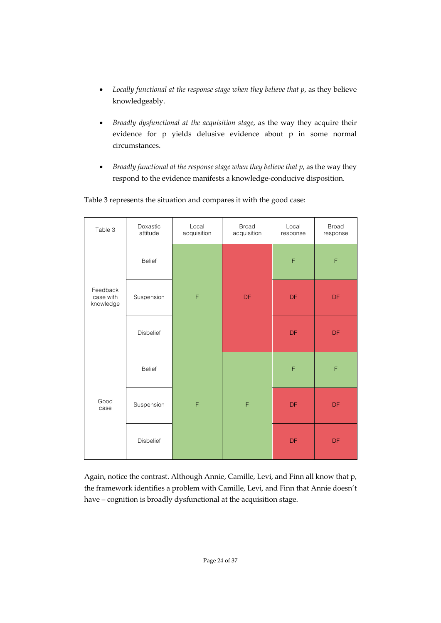- *Locally functional at the response stage when they believe that p*, as they believe knowledgeably.
- *Broadly dysfunctional at the acquisition stage*, as the way they acquire their evidence for p yields delusive evidence about p in some normal circumstances.
- *Broadly functional at the response stage when they believe that p*, as the way they respond to the evidence manifests a knowledge-conducive disposition.

| Table 3                            | Doxastic<br>attitude | Local<br>acquisition | <b>Broad</b><br>acquisition | Local<br>response | <b>Broad</b><br>response |
|------------------------------------|----------------------|----------------------|-----------------------------|-------------------|--------------------------|
| Feedback<br>case with<br>knowledge | Belief               | $\mathsf F$          | DF                          | F                 | F                        |
|                                    | Suspension           |                      |                             | <b>DF</b>         | <b>DF</b>                |
|                                    | <b>Disbelief</b>     |                      |                             | <b>DF</b>         | <b>DF</b>                |
| Good<br>case                       | <b>Belief</b>        | F                    | F                           | $\mathsf F$       | F                        |
|                                    | Suspension           |                      |                             | <b>DF</b>         | <b>DF</b>                |
|                                    | Disbelief            |                      |                             | <b>DF</b>         | <b>DF</b>                |

Table 3 represents the situation and compares it with the good case:

Again, notice the contrast. Although Annie, Camille, Levi, and Finn all know that p, the framework identifies a problem with Camille, Levi, and Finn that Annie doesn't have – cognition is broadly dysfunctional at the acquisition stage.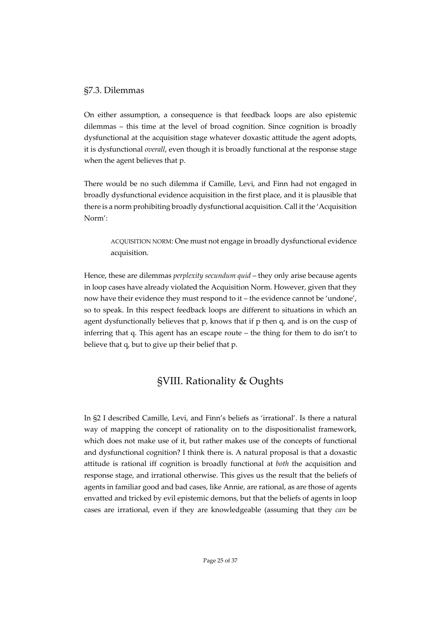### §7.3. Dilemmas

On either assumption, a consequence is that feedback loops are also epistemic dilemmas – this time at the level of broad cognition. Since cognition is broadly dysfunctional at the acquisition stage whatever doxastic attitude the agent adopts, it is dysfunctional *overall*, even though it is broadly functional at the response stage when the agent believes that p.

There would be no such dilemma if Camille, Levi, and Finn had not engaged in broadly dysfunctional evidence acquisition in the first place, and it is plausible that there is a norm prohibiting broadly dysfunctional acquisition. Call it the 'Acquisition Norm':

ACQUISITION NORM: One must not engage in broadly dysfunctional evidence acquisition.

Hence, these are dilemmas *perplexity secundum quid* – they only arise because agents in loop cases have already violated the Acquisition Norm. However, given that they now have their evidence they must respond to it – the evidence cannot be 'undone', so to speak. In this respect feedback loops are different to situations in which an agent dysfunctionally believes that p, knows that if p then q, and is on the cusp of inferring that q. This agent has an escape route – the thing for them to do isn't to believe that q, but to give up their belief that p.

# §VIII. Rationality & Oughts

In §2 I described Camille, Levi, and Finn's beliefs as 'irrational'. Is there a natural way of mapping the concept of rationality on to the dispositionalist framework, which does not make use of it, but rather makes use of the concepts of functional and dysfunctional cognition? I think there is. A natural proposal is that a doxastic attitude is rational iff cognition is broadly functional at *both* the acquisition and response stage, and irrational otherwise. This gives us the result that the beliefs of agents in familiar good and bad cases, like Annie, are rational, as are those of agents envatted and tricked by evil epistemic demons, but that the beliefs of agents in loop cases are irrational, even if they are knowledgeable (assuming that they *can* be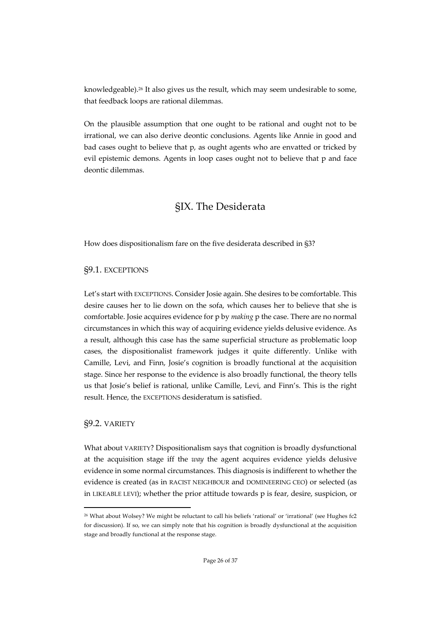knowledgeable).26 It also gives us the result, which may seem undesirable to some, that feedback loops are rational dilemmas.

On the plausible assumption that one ought to be rational and ought not to be irrational, we can also derive deontic conclusions. Agents like Annie in good and bad cases ought to believe that p, as ought agents who are envatted or tricked by evil epistemic demons. Agents in loop cases ought not to believe that p and face deontic dilemmas.

# §IX. The Desiderata

How does dispositionalism fare on the five desiderata described in §3?

### §9.1. EXCEPTIONS

Let's start with EXCEPTIONS. Consider Josie again. She desires to be comfortable. This desire causes her to lie down on the sofa, which causes her to believe that she is comfortable. Josie acquires evidence for p by *making* p the case. There are no normal circumstances in which this way of acquiring evidence yields delusive evidence. As a result, although this case has the same superficial structure as problematic loop cases, the dispositionalist framework judges it quite differently. Unlike with Camille, Levi, and Finn, Josie's cognition is broadly functional at the acquisition stage. Since her response to the evidence is also broadly functional, the theory tells us that Josie's belief is rational, unlike Camille, Levi, and Finn's. This is the right result. Hence, the EXCEPTIONS desideratum is satisfied.

### §9.2. VARIETY

What about VARIETY? Dispositionalism says that cognition is broadly dysfunctional at the acquisition stage iff the *way* the agent acquires evidence yields delusive evidence in some normal circumstances. This diagnosis is indifferent to whether the evidence is created (as in RACIST NEIGHBOUR and DOMINEERING CEO) or selected (as in LIKEABLE LEVI); whether the prior attitude towards p is fear, desire, suspicion, or

<sup>26</sup> What about Wolsey? We might be reluctant to call his beliefs 'rational' or 'irrational' (see Hughes fc2 for discussion). If so, we can simply note that his cognition is broadly dysfunctional at the acquisition stage and broadly functional at the response stage.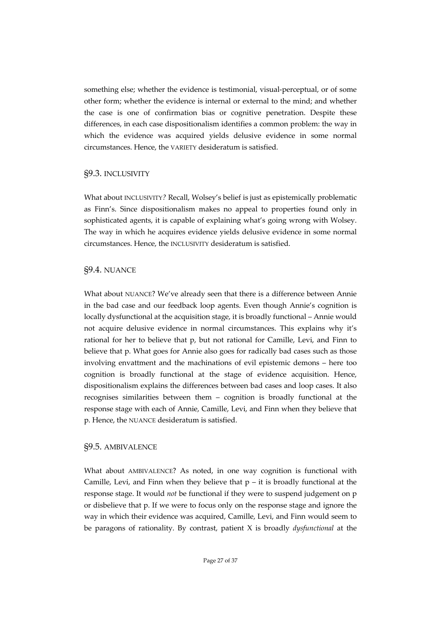something else; whether the evidence is testimonial, visual-perceptual, or of some other form; whether the evidence is internal or external to the mind; and whether the case is one of confirmation bias or cognitive penetration. Despite these differences, in each case dispositionalism identifies a common problem: the way in which the evidence was acquired yields delusive evidence in some normal circumstances. Hence, the VARIETY desideratum is satisfied.

### §9.3. INCLUSIVITY

What about INCLUSIVITY*?* Recall, Wolsey's belief is just as epistemically problematic as Finn's. Since dispositionalism makes no appeal to properties found only in sophisticated agents, it is capable of explaining what's going wrong with Wolsey. The way in which he acquires evidence yields delusive evidence in some normal circumstances. Hence, the INCLUSIVITY desideratum is satisfied.

### §9.4. NUANCE

What about NUANCE? We've already seen that there is a difference between Annie in the bad case and our feedback loop agents. Even though Annie's cognition is locally dysfunctional at the acquisition stage, it is broadly functional – Annie would not acquire delusive evidence in normal circumstances. This explains why it's rational for her to believe that p, but not rational for Camille, Levi, and Finn to believe that p. What goes for Annie also goes for radically bad cases such as those involving envattment and the machinations of evil epistemic demons – here too cognition is broadly functional at the stage of evidence acquisition. Hence, dispositionalism explains the differences between bad cases and loop cases. It also recognises similarities between them – cognition is broadly functional at the response stage with each of Annie, Camille, Levi, and Finn when they believe that p. Hence, the NUANCE desideratum is satisfied.

### §9.5. AMBIVALENCE

What about AMBIVALENCE? As noted, in one way cognition is functional with Camille, Levi, and Finn when they believe that  $p - it$  is broadly functional at the response stage. It would *not* be functional if they were to suspend judgement on p or disbelieve that p. If we were to focus only on the response stage and ignore the way in which their evidence was acquired, Camille, Levi, and Finn would seem to be paragons of rationality. By contrast, patient X is broadly *dysfunctional* at the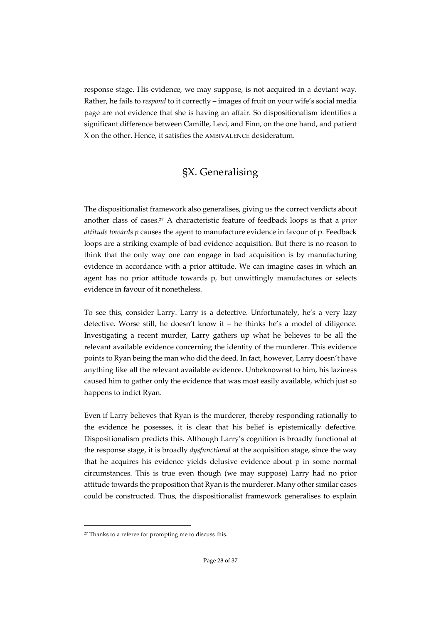response stage. His evidence, we may suppose, is not acquired in a deviant way. Rather, he fails to *respond* to it correctly – images of fruit on your wife's social media page are not evidence that she is having an affair. So dispositionalism identifies a significant difference between Camille, Levi, and Finn, on the one hand, and patient X on the other. Hence, it satisfies the AMBIVALENCE desideratum.

# §X. Generalising

The dispositionalist framework also generalises, giving us the correct verdicts about another class of cases.27 A characteristic feature of feedback loops is that a *prior attitude towards p* causes the agent to manufacture evidence in favour of p. Feedback loops are a striking example of bad evidence acquisition. But there is no reason to think that the only way one can engage in bad acquisition is by manufacturing evidence in accordance with a prior attitude. We can imagine cases in which an agent has no prior attitude towards p, but unwittingly manufactures or selects evidence in favour of it nonetheless.

To see this, consider Larry. Larry is a detective. Unfortunately, he's a very lazy detective. Worse still, he doesn't know it – he thinks he's a model of diligence. Investigating a recent murder, Larry gathers up what he believes to be all the relevant available evidence concerning the identity of the murderer. This evidence points to Ryan being the man who did the deed. In fact, however, Larry doesn't have anything like all the relevant available evidence. Unbeknownst to him, his laziness caused him to gather only the evidence that was most easily available, which just so happens to indict Ryan.

Even if Larry believes that Ryan is the murderer, thereby responding rationally to the evidence he posesses, it is clear that his belief is epistemically defective. Dispositionalism predicts this. Although Larry's cognition is broadly functional at the response stage, it is broadly *dysfunctional* at the acquisition stage, since the way that he acquires his evidence yields delusive evidence about p in some normal circumstances. This is true even though (we may suppose) Larry had no prior attitude towards the proposition that Ryan is the murderer. Many other similar cases could be constructed. Thus, the dispositionalist framework generalises to explain

<sup>&</sup>lt;sup>27</sup> Thanks to a referee for prompting me to discuss this.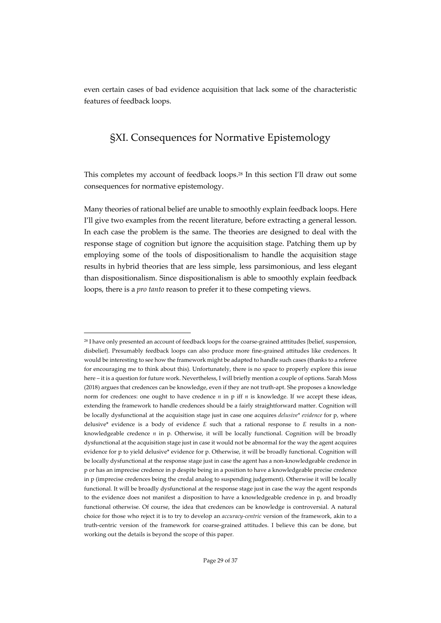even certain cases of bad evidence acquisition that lack some of the characteristic features of feedback loops.

# §XI. Consequences for Normative Epistemology

This completes my account of feedback loops.28 In this section I'll draw out some consequences for normative epistemology.

Many theories of rational belief are unable to smoothly explain feedback loops. Here I'll give two examples from the recent literature, before extracting a general lesson. In each case the problem is the same. The theories are designed to deal with the response stage of cognition but ignore the acquisition stage. Patching them up by employing some of the tools of dispositionalism to handle the acquisition stage results in hybrid theories that are less simple, less parsimonious, and less elegant than dispositionalism. Since dispositionalism is able to smoothly explain feedback loops, there is a *pro tanto* reason to prefer it to these competing views.

<sup>28</sup> I have only presented an account of feedback loops for the coarse-grained atttitudes {belief, suspension, disbelief}. Presumably feedback loops can also produce more fine-grained attitudes like credences. It would be interesting to see how the framework might be adapted to handle such cases (thanks to a referee for encouraging me to think about this). Unfortunately, there is no space to properly explore this issue here – it is a question for future work. Nevertheless, I will briefly mention a couple of options. Sarah Moss (2018) argues that credences can be knowledge, even if they are not truth-apt. She proposes a knowledge norm for credences: one ought to have credence *n* in p iff *n* is knowledge. If we accept these ideas, extending the framework to handle credences should be a fairly straightforward matter. Cognition will be locally dysfunctional at the acquisition stage just in case one acquires *delusive\* evidence* for p, where delusive\* evidence is a body of evidence *E* such that a rational response to *E* results in a nonknowledgeable credence *n* in p. Otherwise, it will be locally functional. Cognition will be broadly dysfunctional at the acquisition stage just in case it would not be abnormal for the way the agent acquires evidence for p to yield delusive\* evidence for p. Otherwise, it will be broadly functional. Cognition will be locally dysfunctional at the response stage just in case the agent has a non-knowledgeable credence in p or has an imprecise credence in p despite being in a position to have a knowledgeable precise credence in p (imprecise credences being the credal analog to suspending judgement). Otherwise it will be locally functional. It will be broadly dysfunctional at the response stage just in case the way the agent responds to the evidence does not manifest a disposition to have a knowledgeable credence in p, and broadly functional otherwise. Of course, the idea that credences can be knowledge is controversial. A natural choice for those who reject it is to try to develop an *accuracy-centric* version of the framework, akin to a truth-centric version of the framework for coarse-grained attitudes. I believe this can be done, but working out the details is beyond the scope of this paper.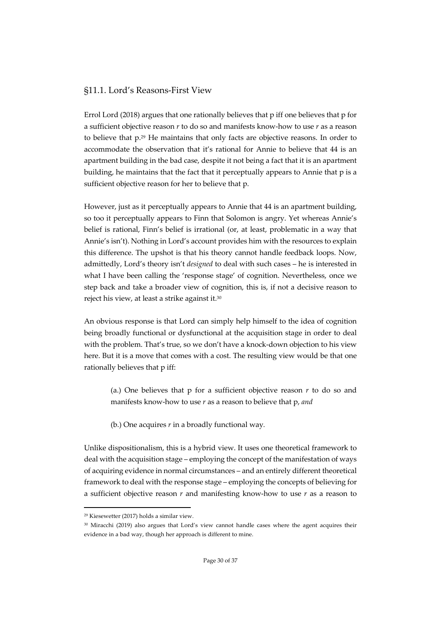### §11.1. Lord's Reasons-First View

Errol Lord (2018) argues that one rationally believes that p iff one believes that p for a sufficient objective reason *r* to do so and manifests know-how to use *r* as a reason to believe that p.29 He maintains that only facts are objective reasons. In order to accommodate the observation that it's rational for Annie to believe that 44 is an apartment building in the bad case, despite it not being a fact that it is an apartment building, he maintains that the fact that it perceptually appears to Annie that p is a sufficient objective reason for her to believe that p.

However, just as it perceptually appears to Annie that 44 is an apartment building, so too it perceptually appears to Finn that Solomon is angry. Yet whereas Annie's belief is rational, Finn's belief is irrational (or, at least, problematic in a way that Annie's isn't). Nothing in Lord's account provides him with the resources to explain this difference. The upshot is that his theory cannot handle feedback loops. Now, admittedly, Lord's theory isn't *designed* to deal with such cases – he is interested in what I have been calling the 'response stage' of cognition. Nevertheless, once we step back and take a broader view of cognition, this is, if not a decisive reason to reject his view, at least a strike against it.30

An obvious response is that Lord can simply help himself to the idea of cognition being broadly functional or dysfunctional at the acquisition stage in order to deal with the problem. That's true, so we don't have a knock-down objection to his view here. But it is a move that comes with a cost. The resulting view would be that one rationally believes that p iff:

(a.) One believes that p for a sufficient objective reason *r* to do so and manifests know-how to use *r* as a reason to believe that p, *and*

(b.) One acquires *r* in a broadly functional way*.* 

Unlike dispositionalism, this is a hybrid view. It uses one theoretical framework to deal with the acquisition stage – employing the concept of the manifestation of ways of acquiring evidence in normal circumstances – and an entirely different theoretical framework to deal with the response stage – employing the concepts of believing for a sufficient objective reason *r* and manifesting know-how to use *r* as a reason to

<sup>29</sup> Kiesewetter (2017) holds a similar view.

<sup>30</sup> Miracchi (2019) also argues that Lord's view cannot handle cases where the agent acquires their evidence in a bad way, though her approach is different to mine.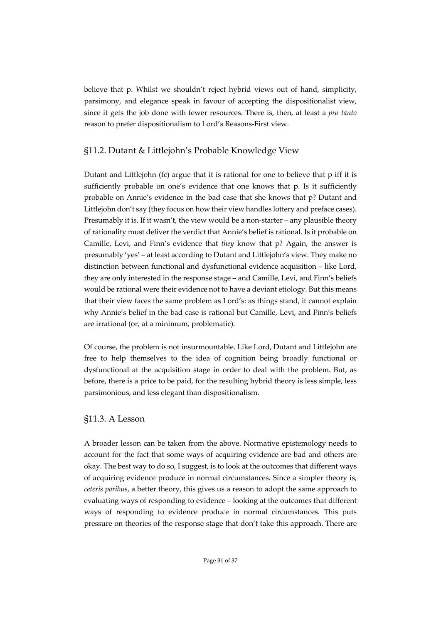believe that p. Whilst we shouldn't reject hybrid views out of hand, simplicity, parsimony, and elegance speak in favour of accepting the dispositionalist view, since it gets the job done with fewer resources. There is, then, at least a *pro tanto* reason to prefer dispositionalism to Lord's Reasons-First view.

# §11.2. Dutant & Littlejohn's Probable Knowledge View

Dutant and Littlejohn (fc) argue that it is rational for one to believe that p iff it is sufficiently probable on one's evidence that one knows that p. Is it sufficiently probable on Annie's evidence in the bad case that she knows that p? Dutant and Littlejohn don't say (they focus on how their view handles lottery and preface cases). Presumably it is. If it wasn't, the view would be a non-starter – any plausible theory of rationality must deliver the verdict that Annie's belief is rational. Is it probable on Camille, Levi, and Finn's evidence that *they* know that p? Again, the answer is presumably 'yes' – at least according to Dutant and Littlejohn's view. They make no distinction between functional and dysfunctional evidence acquisition – like Lord, they are only interested in the response stage – and Camille, Levi, and Finn's beliefs would be rational were their evidence not to have a deviant etiology. But this means that their view faces the same problem as Lord's: as things stand, it cannot explain why Annie's belief in the bad case is rational but Camille, Levi, and Finn's beliefs are irrational (or, at a minimum, problematic).

Of course, the problem is not insurmountable. Like Lord, Dutant and Littlejohn are free to help themselves to the idea of cognition being broadly functional or dysfunctional at the acquisition stage in order to deal with the problem. But, as before, there is a price to be paid, for the resulting hybrid theory is less simple, less parsimonious, and less elegant than dispositionalism.

### §11.3. A Lesson

A broader lesson can be taken from the above. Normative epistemology needs to account for the fact that some ways of acquiring evidence are bad and others are okay. The best way to do so, I suggest, is to look at the outcomes that different ways of acquiring evidence produce in normal circumstances. Since a simpler theory is, *ceteris paribus*, a better theory, this gives us a reason to adopt the same approach to evaluating ways of responding to evidence – looking at the outcomes that different ways of responding to evidence produce in normal circumstances. This puts pressure on theories of the response stage that don't take this approach. There are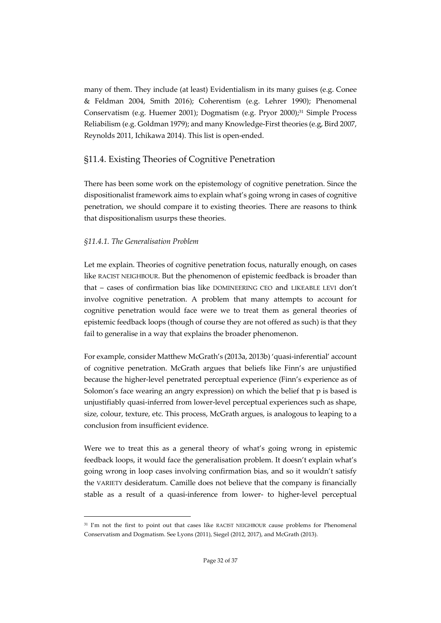many of them. They include (at least) Evidentialism in its many guises (e.g. Conee & Feldman 2004, Smith 2016); Coherentism (e.g. Lehrer 1990); Phenomenal Conservatism (e.g. Huemer 2001); Dogmatism (e.g. Pryor 2000);31 Simple Process Reliabilism (e.g. Goldman 1979); and many Knowledge-First theories (e.g, Bird 2007, Reynolds 2011, Ichikawa 2014). This list is open-ended.

# §11.4. Existing Theories of Cognitive Penetration

There has been some work on the epistemology of cognitive penetration. Since the dispositionalist framework aims to explain what's going wrong in cases of cognitive penetration, we should compare it to existing theories. There are reasons to think that dispositionalism usurps these theories.

### *§11.4.1. The Generalisation Problem*

Let me explain. Theories of cognitive penetration focus, naturally enough, on cases like RACIST NEIGHBOUR. But the phenomenon of epistemic feedback is broader than that – cases of confirmation bias like DOMINEERING CEO and LIKEABLE LEVI don't involve cognitive penetration. A problem that many attempts to account for cognitive penetration would face were we to treat them as general theories of epistemic feedback loops (though of course they are not offered as such) is that they fail to generalise in a way that explains the broader phenomenon.

For example, consider Matthew McGrath's (2013a, 2013b) 'quasi-inferential' account of cognitive penetration. McGrath argues that beliefs like Finn's are unjustified because the higher-level penetrated perceptual experience (Finn's experience as of Solomon's face wearing an angry expression) on which the belief that p is based is unjustifiably quasi-inferred from lower-level perceptual experiences such as shape, size, colour, texture, etc. This process, McGrath argues, is analogous to leaping to a conclusion from insufficient evidence.

Were we to treat this as a general theory of what's going wrong in epistemic feedback loops, it would face the generalisation problem. It doesn't explain what's going wrong in loop cases involving confirmation bias, and so it wouldn't satisfy the VARIETY desideratum. Camille does not believe that the company is financially stable as a result of a quasi-inference from lower- to higher-level perceptual

<sup>&</sup>lt;sup>31</sup> I'm not the first to point out that cases like RACIST NEIGHBOUR cause problems for Phenomenal Conservatism and Dogmatism. See Lyons (2011), Siegel (2012, 2017), and McGrath (2013).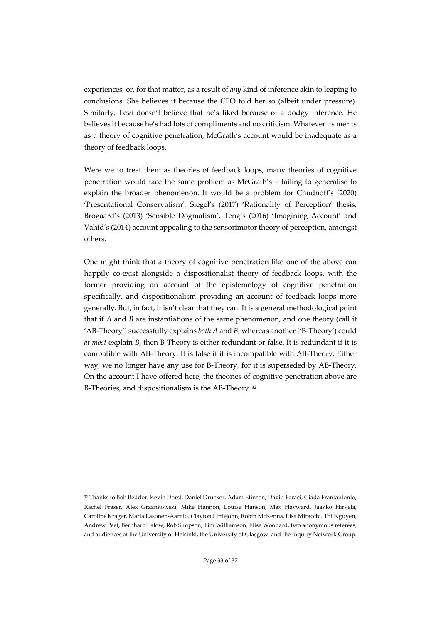experiences, or, for that matter, as a result of *any* kind of inference akin to leaping to conclusions. She believes it because the CFO told her so (albeit under pressure). Similarly, Levi doesn't believe that he's liked because of a dodgy inference. He believes it because he's had lots of compliments and no criticism. Whatever its merits as a theory of cognitive penetration, McGrath's account would be inadequate as a theory of feedback loops.

Were we to treat them as theories of feedback loops, many theories of cognitive penetration would face the same problem as McGrath's – failing to generalise to explain the broader phenomenon. It would be a problem for Chudnoff's (2020) 'Presentational Conservatism', Siegel's (2017) 'Rationality of Perception' thesis, Brogaard's (2013) 'Sensible Dogmatism', Teng's (2016) 'Imagining Account' and Vahid's (2014) account appealing to the sensorimotor theory of perception, amongst others.

One might think that a theory of cognitive penetration like one of the above can happily co-exist alongside a dispositionalist theory of feedback loops, with the former providing an account of the epistemology of cognitive penetration specifically, and dispositionalism providing an account of feedback loops more generally. But, in fact, it isn't clear that they can. It is a general methodological point that if *A* and *B* are instantiations of the same phenomenon, and one theory (call it 'AB-Theory') successfully explains *both A* and *B*, whereas another ('B-Theory') could *at most* explain *B*, then B-Theory is either redundant or false. It is redundant if it is compatible with AB-Theory. It is false if it is incompatible with AB-Theory. Either way, we no longer have any use for B-Theory, for it is superseded by AB-Theory. On the account I have offered here, the theories of cognitive penetration above are B-Theories, and dispositionalism is the AB-Theory.<sup>32</sup>

<sup>32</sup> Thanks to Bob Beddor, Kevin Dorst, Daniel Drucker, Adam Etinson, David Faraci, Giada Frantantonio, Rachel Fraser, Alex Grzankowski, Mike Hannon, Louise Hanson, Max Hayward, Jaakko Hirvela, Caroline Krager, Maria Lasonen-Aarnio, Clayton Littlejohn, Robin McKenna, Lisa Miracchi, Thi Nguyen, Andrew Peet, Bernhard Salow, Rob Simpson, Tim Williamson, Elise Woodard, two anonymous referees, and audiences at the University of Helsinki, the University of Glasgow, and the Inquiry Network Group.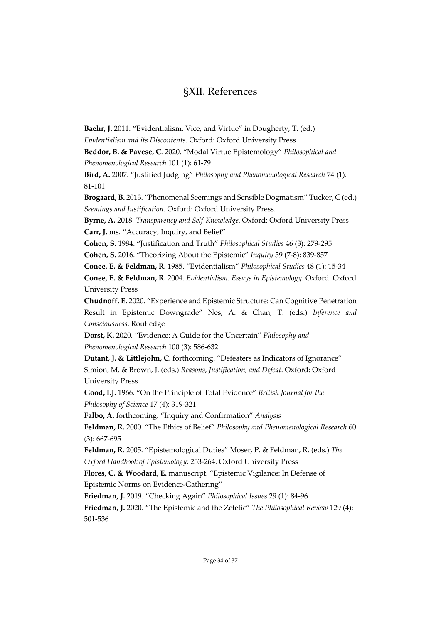# §XII. References

**Baehr, J.** 2011. "Evidentialism, Vice, and Virtue" in Dougherty, T. (ed.)

*Evidentialism and its Discontents*. Oxford: Oxford University Press

**Beddor, B. & Pavese, C**. 2020. "Modal Virtue Epistemology" *Philosophical and Phenomenological Research* 101 (1): 61-79

**Bird, A.** 2007. "Justified Judging" *Philosophy and Phenomenological Research* 74 (1): 81-101

**Brogaard, B.** 2013. "Phenomenal Seemings and Sensible Dogmatism" Tucker, C (ed.) *Seemings and Justification*. Oxford: Oxford University Press.

**Byrne, A.** 2018. *Transparency and Self-Knowledge*. Oxford: Oxford University Press **Carr, J.** ms. "Accuracy, Inquiry, and Belief"

**Cohen, S.** 1984. "Justification and Truth" *Philosophical Studies* 46 (3): 279-295

**Cohen, S.** 2016. "Theorizing About the Epistemic" *Inquiry* 59 (7-8): 839-857

**Conee, E. & Feldman, R.** 1985. "Evidentialism" *Philosophical Studies* 48 (1): 15-34

**Conee, E. & Feldman, R.** 2004. *Evidentialism: Essays in Epistemology*. Oxford: Oxford University Press

**Chudnoff, E.** 2020. "Experience and Epistemic Structure: Can Cognitive Penetration Result in Epistemic Downgrade" Nes, A. & Chan, T. (eds.) *Inference and Consciousness*. Routledge

**Dorst, K.** 2020. "Evidence: A Guide for the Uncertain" *Philosophy and Phenomenological Research* 100 (3): 586-632

**Dutant, J. & Littlejohn, C.** forthcoming. "Defeaters as Indicators of Ignorance" Simion, M. & Brown, J. (eds.) *Reasons, Justification, and Defeat*. Oxford: Oxford University Press

**Good, I.J.** 1966. "On the Principle of Total Evidence" *British Journal for the Philosophy of Science* 17 (4): 319-321

**Falbo, A.** forthcoming. "Inquiry and Confirmation" *Analysis*

**Feldman, R.** 2000. "The Ethics of Belief" *Philosophy and Phenomenological Research* 60 (3): 667-695

**Feldman, R**. 2005. "Epistemological Duties" Moser, P. & Feldman, R. (eds.) *The Oxford Handbook of Epistemology*: 253-264. Oxford University Press

**Flores, C. & Woodard, E.** manuscript. "Epistemic Vigilance: In Defense of Epistemic Norms on Evidence-Gathering"

**Friedman, J.** 2019. "Checking Again" *Philosophical Issues* 29 (1): 84-96 **Friedman, J.** 2020. "The Epistemic and the Zetetic" *The Philosophical Review* 129 (4): 501-536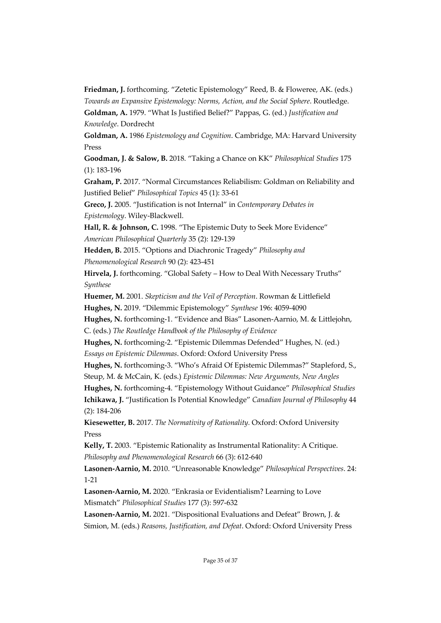**Friedman, J.** forthcoming. "Zetetic Epistemology" Reed, B. & Floweree, AK. (eds.) *Towards an Expansive Epistemology: Norms, Action, and the Social Sphere*. Routledge. **Goldman, A.** 1979. "What Is Justified Belief?" Pappas, G. (ed.) *Justification and Knowledge*. Dordrecht

**Goldman, A.** 1986 *Epistemology and Cognition*. Cambridge, MA: Harvard University Press

**Goodman, J. & Salow, B.** 2018. "Taking a Chance on KK" *Philosophical Studies* 175 (1): 183-196

**Graham, P.** 2017. "Normal Circumstances Reliabilism: Goldman on Reliability and Justified Belief" *Philosophical Topics* 45 (1): 33-61

**Greco, J.** 2005. "Justification is not Internal" in *Contemporary Debates in Epistemology*. Wiley-Blackwell.

**Hall, R. & Johnson, C.** 1998. "The Epistemic Duty to Seek More Evidence" *American Philosophical Quarterly* 35 (2): 129-139

**Hedden, B.** 2015. "Options and Diachronic Tragedy" *Philosophy and Phenomenological Research* 90 (2): 423-451

Hirvela, J. forthcoming. "Global Safety - How to Deal With Necessary Truths" *Synthese*

**Huemer, M.** 2001. *Skepticism and the Veil of Perception*. Rowman & Littlefield **Hughes, N.** 2019. "Dilemmic Epistemology" *Synthese* 196: 4059-4090

**Hughes, N.** forthcoming-1. "Evidence and Bias" Lasonen-Aarnio, M. & Littlejohn, C. (eds.) *The Routledge Handbook of the Philosophy of Evidence*

**Hughes, N.** forthcoming-2. "Epistemic Dilemmas Defended" Hughes, N. (ed.)

*Essays on Epistemic Dilemmas*. Oxford: Oxford University Press

**Hughes, N.** forthcoming-3. "Who's Afraid Of Epistemic Dilemmas?" Stapleford, S., Steup, M. & McCain, K. (eds.) *Epistemic Dilemmas: New Arguments, New Angles*

**Hughes, N.** forthcoming-4. "Epistemology Without Guidance" *Philosophical Studies*

**Ichikawa, J.** "Justification Is Potential Knowledge" *Canadian Journal of Philosophy* 44 (2): 184-206

**Kiesewetter, B.** 2017. *The Normativity of Rationality.* Oxford: Oxford University Press

**Kelly, T.** 2003. "Epistemic Rationality as Instrumental Rationality: A Critique. *Philosophy and Phenomenological Research* 66 (3): 612-640

**Lasonen-Aarnio, M.** 2010. "Unreasonable Knowledge" *Philosophical Perspectives*. 24: 1-21

**Lasonen-Aarnio, M.** 2020. "Enkrasia or Evidentialism? Learning to Love Mismatch" *Philosophical Studies* 177 (3): 597-632

**Lasonen-Aarnio, M.** 2021. "Dispositional Evaluations and Defeat" Brown, J. & Simion, M. (eds.) *Reasons, Justification, and Defeat*. Oxford: Oxford University Press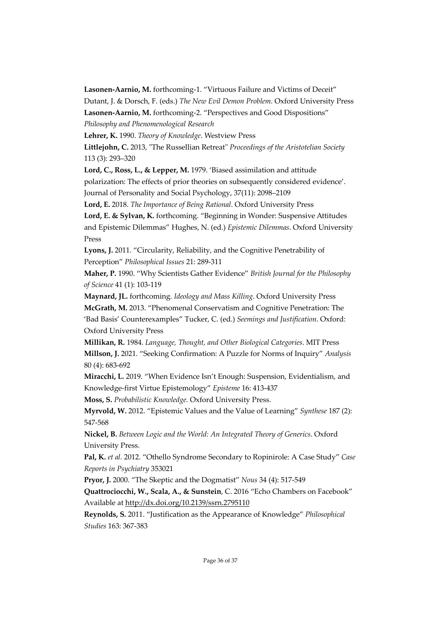**Lasonen-Aarnio, M.** forthcoming-1. "Virtuous Failure and Victims of Deceit"

Dutant, J. & Dorsch, F. (eds.) *The New Evil Demon Problem*. Oxford University Press

**Lasonen-Aarnio, M.** forthcoming-2. "Perspectives and Good Dispositions"

*Philosophy and Phenomenological Research*

**Lehrer, K.** 1990. *Theory of Knowledge*. Westview Press

**Littlejohn, C.** 2013, "The Russellian Retreat" *Proceedings of the Aristotelian Society* 113 (3): 293–320

**Lord, C., Ross, L., & Lepper, M.** 1979. 'Biased assimilation and attitude polarization: The effects of prior theories on subsequently considered evidence'. Journal of Personality and Social Psychology, 37(11): 2098–2109

**Lord, E.** 2018. *The Importance of Being Rational*. Oxford University Press

**Lord, E. & Sylvan, K.** forthcoming. "Beginning in Wonder: Suspensive Attitudes and Epistemic Dilemmas" Hughes, N. (ed.) *Epistemic Dilemmas*. Oxford University Press

**Lyons, J.** 2011. "Circularity, Reliability, and the Cognitive Penetrability of Perception" *Philosophical Issues* 21: 289-311

**Maher, P.** 1990. "Why Scientists Gather Evidence" *British Journal for the Philosophy of Science* 41 (1): 103-119

**Maynard, JL.** forthcoming. *Ideology and Mass Killing*. Oxford University Press **McGrath, M.** 2013. "Phenomenal Conservatism and Cognitive Penetration: The

'Bad Basis' Counterexamples" Tucker, C. (ed.) *Seemings and Justification*. Oxford: Oxford University Press

**Millikan, R.** 1984. *Language, Thought, and Other Biological Categories*. MIT Press **Millson, J.** 2021. "Seeking Confirmation: A Puzzle for Norms of Inquiry" *Analysis* 80 (4): 683-692

**Miracchi, L.** 2019. "When Evidence Isn't Enough: Suspension, Evidentialism, and Knowledge-first Virtue Epistemology" *Episteme* 16: 413-437

**Moss, S.** *Probabilistic Knowledge.* Oxford University Press.

**Myrvold, W.** 2012. "Epistemic Values and the Value of Learning" *Synthese* 187 (2): 547-568

**Nickel, B.** *Between Logic and the World: An Integrated Theory of Generics*. Oxford University Press.

**Pal, K.** *et al.* 2012. "Othello Syndrome Secondary to Ropinirole: A Case Study" *Case Reports in Psychiatry* 353021

**Pryor, J.** 2000. "The Skeptic and the Dogmatist" *Nous* 34 (4): 517-549

**Quattrociocchi, W., Scala, A., & Sunstein**, C. 2016 "Echo Chambers on Facebook" Available at http://dx.doi.org/10.2139/ssrn.2795110

**Reynolds, S.** 2011. "Justification as the Appearance of Knowledge" *Philosophical Studies* 163: 367-383